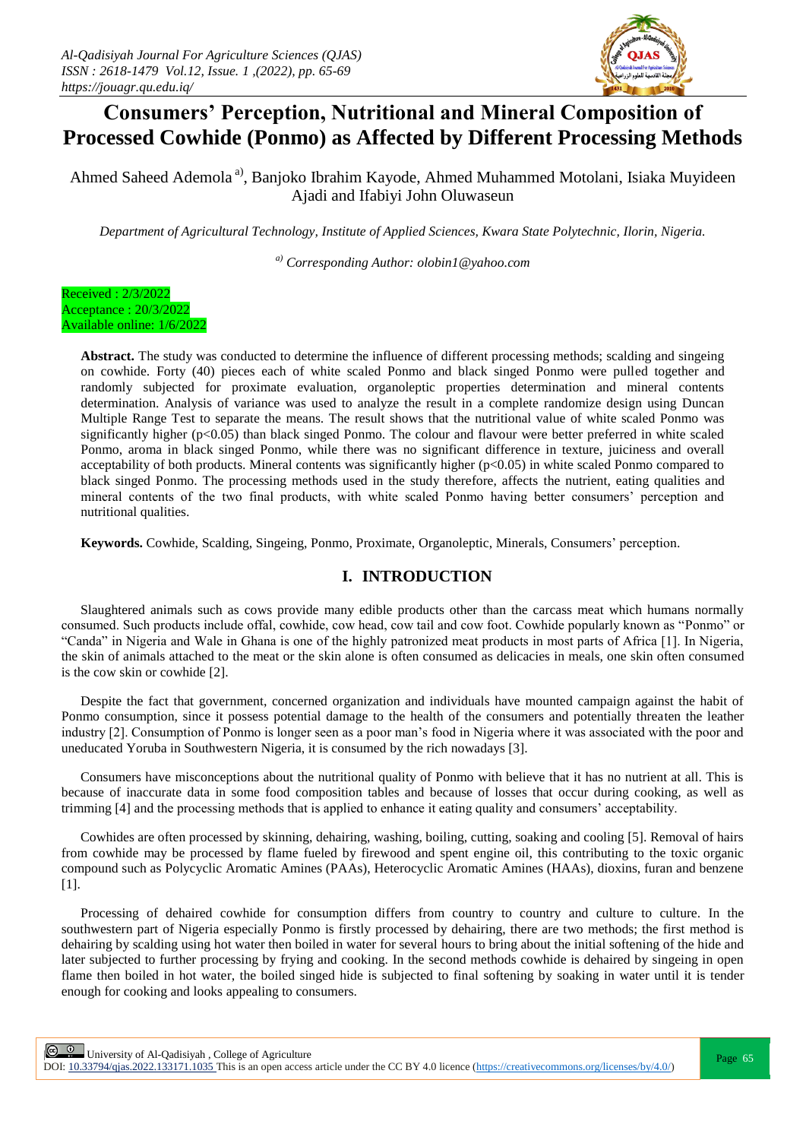

# **Consumers' Perception, Nutritional and Mineral Composition of Processed Cowhide (Ponmo) as Affected by Different Processing Methods**

Ahmed Saheed Ademola<sup>a)</sup>, Banjoko Ibrahim Kayode, Ahmed Muhammed Motolani, Isiaka Muyideen Ajadi and Ifabiyi John Oluwaseun

*Department of Agricultural Technology, Institute of Applied Sciences, Kwara State Polytechnic, Ilorin, Nigeria.*

*a) Corresponding Author: olobin1@yahoo.com*



**Abstract.** The study was conducted to determine the influence of different processing methods; scalding and singeing on cowhide. Forty (40) pieces each of white scaled Ponmo and black singed Ponmo were pulled together and randomly subjected for proximate evaluation, organoleptic properties determination and mineral contents determination. Analysis of variance was used to analyze the result in a complete randomize design using Duncan Multiple Range Test to separate the means. The result shows that the nutritional value of white scaled Ponmo was significantly higher (p<0.05) than black singed Ponmo. The colour and flavour were better preferred in white scaled Ponmo, aroma in black singed Ponmo, while there was no significant difference in texture, juiciness and overall acceptability of both products. Mineral contents was significantly higher (p<0.05) in white scaled Ponmo compared to black singed Ponmo. The processing methods used in the study therefore, affects the nutrient, eating qualities and mineral contents of the two final products, with white scaled Ponmo having better consumers' perception and nutritional qualities.

**Keywords.** Cowhide, Scalding, Singeing, Ponmo, Proximate, Organoleptic, Minerals, Consumers' perception.

# **I. INTRODUCTION**

Slaughtered animals such as cows provide many edible products other than the carcass meat which humans normally consumed. Such products include offal, cowhide, cow head, cow tail and cow foot. Cowhide popularly known as "Ponmo" or "Canda" in Nigeria and Wale in Ghana is one of the highly patronized meat products in most parts of Africa [1]. In Nigeria, the skin of animals attached to the meat or the skin alone is often consumed as delicacies in meals, one skin often consumed is the cow skin or cowhide [2].

Despite the fact that government, concerned organization and individuals have mounted campaign against the habit of Ponmo consumption, since it possess potential damage to the health of the consumers and potentially threaten the leather industry [2]. Consumption of Ponmo is longer seen as a poor man's food in Nigeria where it was associated with the poor and uneducated Yoruba in Southwestern Nigeria, it is consumed by the rich nowadays [3].

Consumers have misconceptions about the nutritional quality of Ponmo with believe that it has no nutrient at all. This is because of inaccurate data in some food composition tables and because of losses that occur during cooking, as well as trimming [4] and the processing methods that is applied to enhance it eating quality and consumers' acceptability.

Cowhides are often processed by skinning, dehairing, washing, boiling, cutting, soaking and cooling [5]. Removal of hairs from cowhide may be processed by flame fueled by firewood and spent engine oil, this contributing to the toxic organic compound such as Polycyclic Aromatic Amines (PAAs), Heterocyclic Aromatic Amines (HAAs), dioxins, furan and benzene [1].

Processing of dehaired cowhide for consumption differs from country to country and culture to culture. In the southwestern part of Nigeria especially Ponmo is firstly processed by dehairing, there are two methods; the first method is dehairing by scalding using hot water then boiled in water for several hours to bring about the initial softening of the hide and later subjected to further processing by frying and cooking. In the second methods cowhide is dehaired by singeing in open flame then boiled in hot water, the boiled singed hide is subjected to final softening by soaking in water until it is tender enough for cooking and looks appealing to consumers.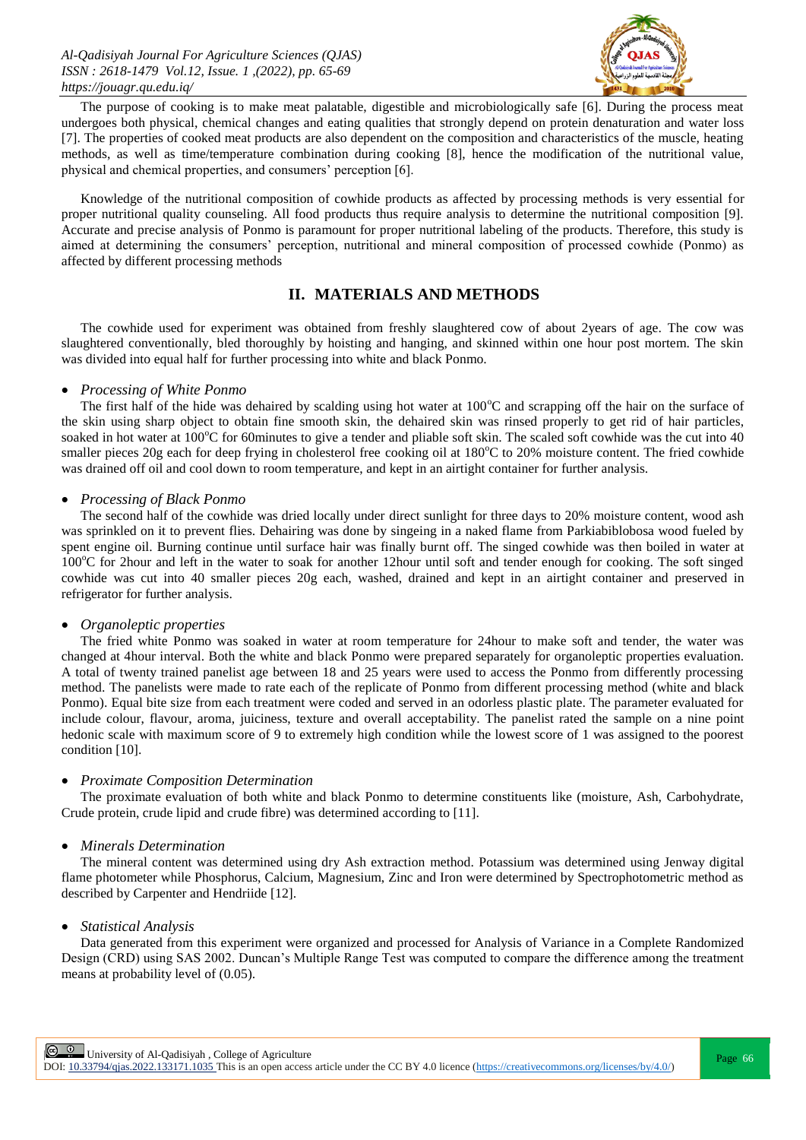

The purpose of cooking is to make meat palatable, digestible and microbiologically safe [6]. During the process meat undergoes both physical, chemical changes and eating qualities that strongly depend on protein denaturation and water loss [7]. The properties of cooked meat products are also dependent on the composition and characteristics of the muscle, heating methods, as well as time/temperature combination during cooking [8], hence the modification of the nutritional value, physical and chemical properties, and consumers' perception [6].

Knowledge of the nutritional composition of cowhide products as affected by processing methods is very essential for proper nutritional quality counseling. All food products thus require analysis to determine the nutritional composition [9]. Accurate and precise analysis of Ponmo is paramount for proper nutritional labeling of the products. Therefore, this study is aimed at determining the consumers' perception, nutritional and mineral composition of processed cowhide (Ponmo) as affected by different processing methods

# **II. MATERIALS AND METHODS**

The cowhide used for experiment was obtained from freshly slaughtered cow of about 2years of age. The cow was slaughtered conventionally, bled thoroughly by hoisting and hanging, and skinned within one hour post mortem. The skin was divided into equal half for further processing into white and black Ponmo.

#### *Processing of White Ponmo*

The first half of the hide was dehaired by scalding using hot water at  $100^{\circ}$ C and scrapping off the hair on the surface of the skin using sharp object to obtain fine smooth skin, the dehaired skin was rinsed properly to get rid of hair particles, soaked in hot water at  $100^{\circ}$ C for 60minutes to give a tender and pliable soft skin. The scaled soft cowhide was the cut into 40 smaller pieces 20g each for deep frying in cholesterol free cooking oil at  $180^{\circ}$ C to 20% moisture content. The fried cowhide was drained off oil and cool down to room temperature, and kept in an airtight container for further analysis.

### *Processing of Black Ponmo*

The second half of the cowhide was dried locally under direct sunlight for three days to 20% moisture content, wood ash was sprinkled on it to prevent flies. Dehairing was done by singeing in a naked flame from Parkiabiblobosa wood fueled by spent engine oil. Burning continue until surface hair was finally burnt off. The singed cowhide was then boiled in water at 100<sup>o</sup>C for 2hour and left in the water to soak for another 12hour until soft and tender enough for cooking. The soft singed cowhide was cut into 40 smaller pieces 20g each, washed, drained and kept in an airtight container and preserved in refrigerator for further analysis.

#### *Organoleptic properties*

The fried white Ponmo was soaked in water at room temperature for 24hour to make soft and tender, the water was changed at 4hour interval. Both the white and black Ponmo were prepared separately for organoleptic properties evaluation. A total of twenty trained panelist age between 18 and 25 years were used to access the Ponmo from differently processing method. The panelists were made to rate each of the replicate of Ponmo from different processing method (white and black Ponmo). Equal bite size from each treatment were coded and served in an odorless plastic plate. The parameter evaluated for include colour, flavour, aroma, juiciness, texture and overall acceptability. The panelist rated the sample on a nine point hedonic scale with maximum score of 9 to extremely high condition while the lowest score of 1 was assigned to the poorest condition [10].

#### *Proximate Composition Determination*

The proximate evaluation of both white and black Ponmo to determine constituents like (moisture, Ash, Carbohydrate, Crude protein, crude lipid and crude fibre) was determined according to [11].

#### *Minerals Determination*

The mineral content was determined using dry Ash extraction method. Potassium was determined using Jenway digital flame photometer while Phosphorus, Calcium, Magnesium, Zinc and Iron were determined by Spectrophotometric method as described by Carpenter and Hendriide [12].

## *Statistical Analysis*

Data generated from this experiment were organized and processed for Analysis of Variance in a Complete Randomized Design (CRD) using SAS 2002. Duncan's Multiple Range Test was computed to compare the difference among the treatment means at probability level of (0.05).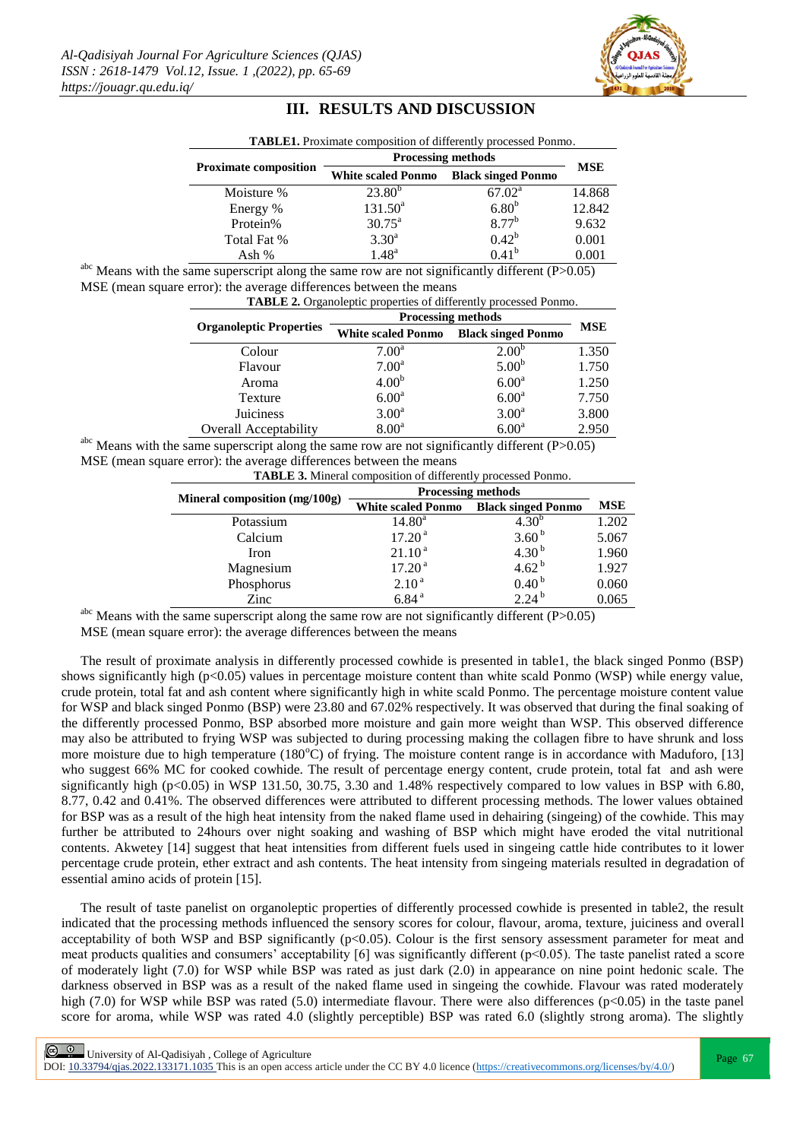

## **III. RESULTS AND DISCUSSION**

| <b>TABLE1.</b> Proximate composition of differently processed Ponmo. |                           |                           |            |  |  |
|----------------------------------------------------------------------|---------------------------|---------------------------|------------|--|--|
| <b>Proximate composition</b>                                         | <b>Processing methods</b> |                           |            |  |  |
|                                                                      | <b>White scaled Ponmo</b> | <b>Black singed Ponmo</b> | <b>MSE</b> |  |  |
| Moisture %                                                           | $23.80^{b}$               | $67.02^{\rm a}$           | 14.868     |  |  |
| Energy %                                                             | $131.50^a$                | 6.80 <sup>b</sup>         | 12.842     |  |  |
| Protein%                                                             | $30.75^{\text{a}}$        | $8.77^{b}$                | 9.632      |  |  |
| Total Fat %                                                          | $3.30^{a}$                | $0.42^b$                  | 0.001      |  |  |
| Ash %                                                                | $1.48^{\rm a}$            | $0.41^{b}$                | 0.001      |  |  |

<sup>abc</sup> Means with the same superscript along the same row are not significantly different (P $>0.05$ ) MSE (mean square error): the average differences between the means

| TABLE 2. Organoleptic properties of differently processed Ponmo. |
|------------------------------------------------------------------|
|------------------------------------------------------------------|

|                                | <b>Processing methods</b> |                           |            |
|--------------------------------|---------------------------|---------------------------|------------|
| <b>Organoleptic Properties</b> | <b>White scaled Ponmo</b> | <b>Black singed Ponmo</b> | <b>MSE</b> |
| Colour                         | $7.00^{\rm a}$            | $2.00^{b}$                | 1.350      |
| Flavour                        | $7.00^{\rm a}$            | 5.00 <sup>b</sup>         | 1.750      |
| Aroma                          | 4.00 <sup>b</sup>         | 6.00 <sup>a</sup>         | 1.250      |
| Texture                        | 6.00 <sup>a</sup>         | 6.00 <sup>a</sup>         | 7.750      |
| Juiciness                      | 3.00 <sup>a</sup>         | 3.00 <sup>a</sup>         | 3.800      |
| <b>Overall Acceptability</b>   | 8.00 <sup>a</sup>         | 6.00 <sup>a</sup>         | 2.950      |

abc Means with the same superscript along the same row are not significantly different (P>0.05) MSE (mean square error): the average differences between the means

| <b>TABLE 3.</b> Mineral composition of differently processed Ponmo. |                           |                           |            |  |  |
|---------------------------------------------------------------------|---------------------------|---------------------------|------------|--|--|
|                                                                     | <b>Processing methods</b> |                           |            |  |  |
| Mineral composition (mg/100g)                                       | <b>White scaled Ponmo</b> | <b>Black singed Ponmo</b> | <b>MSE</b> |  |  |
| Potassium                                                           | $14.80^{\rm a}$           | $4.30^{b}$                | 1.202      |  |  |
| Calcium                                                             | 17.20 <sup>a</sup>        | 3.60 <sup>b</sup>         | 5.067      |  |  |
| Iron                                                                | 21.10 <sup>a</sup>        | 4.30 $^{b}$               | 1.960      |  |  |
| Magnesium                                                           | 17.20 <sup>a</sup>        | 4.62 $^{\rm b}$           | 1.927      |  |  |
| Phosphorus                                                          | 2.10 <sup>a</sup>         | 0.40 <sup>b</sup>         | 0.060      |  |  |
| Zinc                                                                | 6.84 <sup>a</sup>         | $2.24^{b}$                | 0.065      |  |  |

<sup>abc</sup> Means with the same superscript along the same row are not significantly different  $(P>0.05)$ 

MSE (mean square error): the average differences between the means

The result of proximate analysis in differently processed cowhide is presented in table1, the black singed Ponmo (BSP) shows significantly high ( $p<0.05$ ) values in percentage moisture content than white scald Ponmo (WSP) while energy value, crude protein, total fat and ash content where significantly high in white scald Ponmo. The percentage moisture content value for WSP and black singed Ponmo (BSP) were 23.80 and 67.02% respectively. It was observed that during the final soaking of the differently processed Ponmo, BSP absorbed more moisture and gain more weight than WSP. This observed difference may also be attributed to frying WSP was subjected to during processing making the collagen fibre to have shrunk and loss more moisture due to high temperature  $(180^{\circ}C)$  of frying. The moisture content range is in accordance with Maduforo, [13] who suggest 66% MC for cooked cowhide. The result of percentage energy content, crude protein, total fat and ash were significantly high (p<0.05) in WSP 131.50, 30.75, 3.30 and 1.48% respectively compared to low values in BSP with 6.80, 8.77, 0.42 and 0.41%. The observed differences were attributed to different processing methods. The lower values obtained for BSP was as a result of the high heat intensity from the naked flame used in dehairing (singeing) of the cowhide. This may further be attributed to 24hours over night soaking and washing of BSP which might have eroded the vital nutritional contents. Akwetey [14] suggest that heat intensities from different fuels used in singeing cattle hide contributes to it lower percentage crude protein, ether extract and ash contents. The heat intensity from singeing materials resulted in degradation of essential amino acids of protein [15].

The result of taste panelist on organoleptic properties of differently processed cowhide is presented in table2, the result indicated that the processing methods influenced the sensory scores for colour, flavour, aroma, texture, juiciness and overall acceptability of both WSP and BSP significantly  $(p<0.05)$ . Colour is the first sensory assessment parameter for meat and meat products qualities and consumers' acceptability [6] was significantly different (p<0.05). The taste panelist rated a score of moderately light (7.0) for WSP while BSP was rated as just dark (2.0) in appearance on nine point hedonic scale. The darkness observed in BSP was as a result of the naked flame used in singeing the cowhide. Flavour was rated moderately high (7.0) for WSP while BSP was rated (5.0) intermediate flavour. There were also differences ( $p<0.05$ ) in the taste panel score for aroma, while WSP was rated 4.0 (slightly perceptible) BSP was rated 6.0 (slightly strong aroma). The slightly

Page 67 | University of Al-Qadisiyah , College of Agriculture

DOI:  $10.33794$ /qjas.2022.133171.1035 This is an open access article under the CC BY 4.0 licence (https://creativecommons.org/licenses/by/4.0/)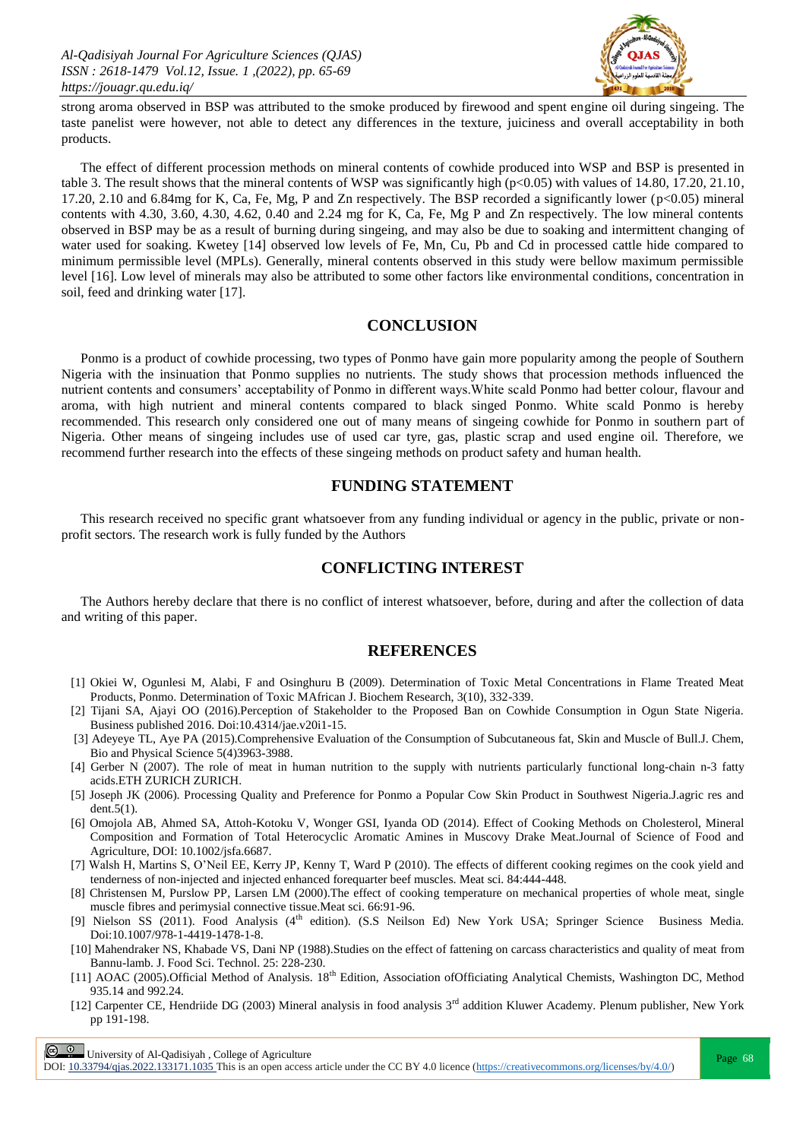

strong aroma observed in BSP was attributed to the smoke produced by firewood and spent engine oil during singeing. The taste panelist were however, not able to detect any differences in the texture, juiciness and overall acceptability in both products.

The effect of different procession methods on mineral contents of cowhide produced into WSP and BSP is presented in table 3. The result shows that the mineral contents of WSP was significantly high (p<0.05) with values of 14.80, 17.20, 21.10, 17.20, 2.10 and 6.84mg for K, Ca, Fe, Mg, P and Zn respectively. The BSP recorded a significantly lower (p<0.05) mineral contents with 4.30, 3.60, 4.30, 4.62, 0.40 and 2.24 mg for K, Ca, Fe, Mg P and Zn respectively. The low mineral contents observed in BSP may be as a result of burning during singeing, and may also be due to soaking and intermittent changing of water used for soaking. Kwetey [14] observed low levels of Fe, Mn, Cu, Pb and Cd in processed cattle hide compared to minimum permissible level (MPLs). Generally, mineral contents observed in this study were bellow maximum permissible level [16]. Low level of minerals may also be attributed to some other factors like environmental conditions, concentration in soil, feed and drinking water [17].

# **CONCLUSION**

Ponmo is a product of cowhide processing, two types of Ponmo have gain more popularity among the people of Southern Nigeria with the insinuation that Ponmo supplies no nutrients. The study shows that procession methods influenced the nutrient contents and consumers' acceptability of Ponmo in different ways.White scald Ponmo had better colour, flavour and aroma, with high nutrient and mineral contents compared to black singed Ponmo. White scald Ponmo is hereby recommended. This research only considered one out of many means of singeing cowhide for Ponmo in southern part of Nigeria. Other means of singeing includes use of used car tyre, gas, plastic scrap and used engine oil. Therefore, we recommend further research into the effects of these singeing methods on product safety and human health.

# **FUNDING STATEMENT**

This research received no specific grant whatsoever from any funding individual or agency in the public, private or nonprofit sectors. The research work is fully funded by the Authors

## **CONFLICTING INTEREST**

The Authors hereby declare that there is no conflict of interest whatsoever, before, during and after the collection of data and writing of this paper.

## **REFERENCES**

- [1] Okiei W, Ogunlesi M, Alabi, F and Osinghuru B (2009). Determination of Toxic Metal Concentrations in Flame Treated Meat Products, Ponmo. Determination of Toxic MAfrican J. Biochem Research, 3(10), 332-339.
- [2] Tijani SA, Ajayi OO (2016).Perception of Stakeholder to the Proposed Ban on Cowhide Consumption in Ogun State Nigeria. Business published 2016. Doi:10.4314/jae.v20i1-15.
- [3] Adeyeye TL, Aye PA (2015).Comprehensive Evaluation of the Consumption of Subcutaneous fat, Skin and Muscle of Bull.J. Chem, Bio and Physical Science 5(4)3963-3988.
- [4] Gerber N (2007). The role of meat in human nutrition to the supply with nutrients particularly functional long-chain n-3 fatty acids.ETH ZURICH ZURICH.
- [5] Joseph JK (2006). Processing Quality and Preference for Ponmo a Popular Cow Skin Product in Southwest Nigeria.J.agric res and dent.5(1).
- [6] Omojola AB, Ahmed SA, Attoh-Kotoku V, Wonger GSI, Iyanda OD (2014). Effect of Cooking Methods on Cholesterol, Mineral Composition and Formation of Total Heterocyclic Aromatic Amines in Muscovy Drake Meat.Journal of Science of Food and Agriculture, DOI: 10.1002/jsfa.6687.
- [7] Walsh H, Martins S, O'Neil EE, Kerry JP, Kenny T, Ward P (2010). The effects of different cooking regimes on the cook yield and tenderness of non-injected and injected enhanced forequarter beef muscles. Meat sci. 84:444-448.
- [8] Christensen M, Purslow PP, Larsen LM (2000).The effect of cooking temperature on mechanical properties of whole meat, single muscle fibres and perimysial connective tissue.Meat sci. 66:91-96.
- [9] Nielson SS (2011). Food Analysis (4<sup>th</sup> edition). (S.S Neilson Ed) New York USA; Springer Science Business Media. Doi:10.1007/978-1-4419-1478-1-8.
- [10] Mahendraker NS, Khabade VS, Dani NP (1988).Studies on the effect of fattening on carcass characteristics and quality of meat from Bannu-lamb. J. Food Sci. Technol. 25: 228-230.
- [11] AOAC (2005).Official Method of Analysis. 18<sup>th</sup> Edition, Association ofOfficiating Analytical Chemists, Washington DC, Method 935.14 and 992.24.
- [12] Carpenter CE, Hendriide DG (2003) Mineral analysis in food analysis 3rd addition Kluwer Academy. Plenum publisher, New York pp 191-198.

**Page 68**<br>Page 68 | University of Al-Qadisiyah, College of Agriculture<br>Page 68 | Page 68

DOI:  $10.33794/q$ jas.2022.133171.1035 This is an open access article under the CC BY 4.0 licence (https://creativecommons.org/licenses/by/4.0/)